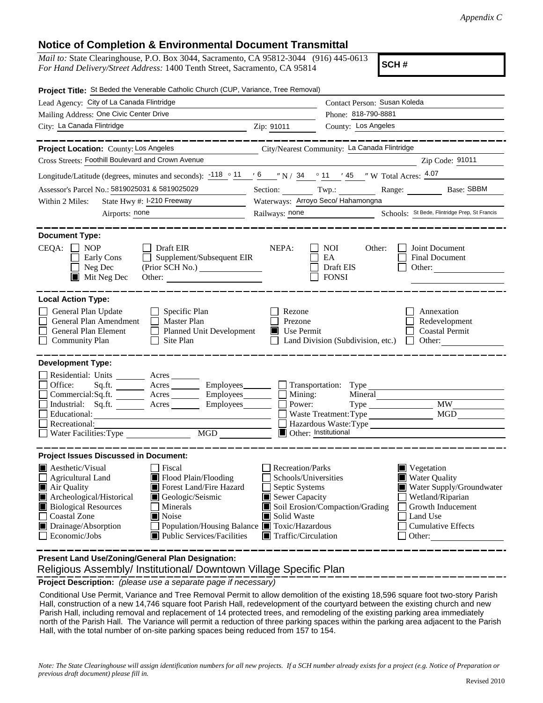## **Notice of Completion & Environmental Document Transmittal**

*Mail to:* State Clearinghouse, P.O. Box 3044, Sacramento, CA 95812-3044 (916) 445-0613 *For Hand Delivery/Street Address:* 1400 Tenth Street, Sacramento, CA 95814

**SCH #**

| Project Title: St Beded the Venerable Catholic Church (CUP, Variance, Tree Removal)                                                                                                                                                                                                                                                                                              |                                                                                                                                          |                                                                                         |                                                                                                                                                                           |  |
|----------------------------------------------------------------------------------------------------------------------------------------------------------------------------------------------------------------------------------------------------------------------------------------------------------------------------------------------------------------------------------|------------------------------------------------------------------------------------------------------------------------------------------|-----------------------------------------------------------------------------------------|---------------------------------------------------------------------------------------------------------------------------------------------------------------------------|--|
| Lead Agency: City of La Canada Flintridge                                                                                                                                                                                                                                                                                                                                        |                                                                                                                                          |                                                                                         | Contact Person: Susan Koleda                                                                                                                                              |  |
| Mailing Address: One Civic Center Drive                                                                                                                                                                                                                                                                                                                                          |                                                                                                                                          | Phone: 818-790-8881                                                                     |                                                                                                                                                                           |  |
| City: La Canada Flintridge                                                                                                                                                                                                                                                                                                                                                       | Zip: 91011                                                                                                                               | County: Los Angeles                                                                     |                                                                                                                                                                           |  |
| <b>Project Location: County: Los Angeles</b>                                                                                                                                                                                                                                                                                                                                     |                                                                                                                                          | City/Nearest Community: La Canada Flintridge                                            | __________                                                                                                                                                                |  |
| Cross Streets: Foothill Boulevard and Crown Avenue                                                                                                                                                                                                                                                                                                                               |                                                                                                                                          |                                                                                         | Zip Code: 91011                                                                                                                                                           |  |
| Longitude/Latitude (degrees, minutes and seconds): $\frac{118}{9}$ $\frac{11}{9}$ $\frac{6}{9}$ $\frac{11}{9}$ $\frac{34}{9}$ $\frac{11}{9}$ $\frac{145}{9}$ W Total Acres: $\frac{4.07}{9}$                                                                                                                                                                                     |                                                                                                                                          |                                                                                         |                                                                                                                                                                           |  |
| Assessor's Parcel No.: 5819025031 & 5819025029<br>$\mathcal{L}^{\text{max}}_{\text{max}}$ , where $\mathcal{L}^{\text{max}}_{\text{max}}$                                                                                                                                                                                                                                        |                                                                                                                                          | Section: Twp.:                                                                          | Range: Base: SBBM                                                                                                                                                         |  |
| State Hwy #: I-210 Freeway<br>Within 2 Miles:                                                                                                                                                                                                                                                                                                                                    |                                                                                                                                          | Waterways: Arroyo Seco/ Hahamongna                                                      |                                                                                                                                                                           |  |
| Airports: none                                                                                                                                                                                                                                                                                                                                                                   | Railways: none                                                                                                                           |                                                                                         | Schools: St Bede, Flintridge Prep, St Francis                                                                                                                             |  |
| <b>Document Type:</b><br>$CEQA: \Box NOP$<br>Draft EIR                                                                                                                                                                                                                                                                                                                           | NEPA:                                                                                                                                    | <b>NOI</b><br>Other:                                                                    | Joint Document                                                                                                                                                            |  |
| Supplement/Subsequent EIR<br>Early Cons<br>$\Box$ Neg Dec<br>$\blacksquare$ Mit Neg Dec<br>Other:                                                                                                                                                                                                                                                                                |                                                                                                                                          | EA<br>Draft EIS<br><b>FONSI</b>                                                         | Final Document<br>Other:                                                                                                                                                  |  |
| <b>Local Action Type:</b>                                                                                                                                                                                                                                                                                                                                                        |                                                                                                                                          |                                                                                         |                                                                                                                                                                           |  |
| General Plan Update<br>$\Box$ Specific Plan<br>General Plan Amendment<br>$\Box$ Master Plan<br>Planned Unit Development<br>General Plan Element<br>$\Box$<br><b>Community Plan</b><br>$\Box$ Site Plan                                                                                                                                                                           | Rezone<br>Prezone<br>$\blacksquare$ Use Permit                                                                                           |                                                                                         | Annexation<br>Redevelopment<br><b>Coastal Permit</b><br>Land Division (Subdivision, etc.) $\Box$ Other:                                                                   |  |
| <b>Development Type:</b><br>Residential: Units ________ Acres _______<br>Office:<br>Acres Employees Transportation: Type<br>Sq.ft.<br>$Commercial:Sq.fit.$ Acres Employees Mining:<br>Industrial: Sq.ft. _______ Acres ________ Employees_______<br>Educational:<br>Recreational:<br>Water Facilities: Type<br>MGD                                                               | Power:                                                                                                                                   | Mineral<br>Waste Treatment: Type<br>Hazardous Waste:Type<br><b>Other:</b> Institutional | MGD                                                                                                                                                                       |  |
| <b>Project Issues Discussed in Document:</b>                                                                                                                                                                                                                                                                                                                                     |                                                                                                                                          |                                                                                         |                                                                                                                                                                           |  |
| <b>Aesthetic/Visual</b><br>Fiscal<br>Flood Plain/Flooding<br><b>Agricultural Land</b><br>Air Quality<br>Forest Land/Fire Hazard<br>Archeological/Historical<br>Geologic/Seismic<br><b>Biological Resources</b><br>Minerals<br><b>Coastal Zone</b><br>Noise<br>Drainage/Absorption<br>Population/Housing Balance ■ Toxic/Hazardous<br>Economic/Jobs<br>Public Services/Facilities | <b>Recreation/Parks</b><br>Schools/Universities<br>Septic Systems<br>Sewer Capacity<br>Solid Waste<br>$\blacksquare$ Traffic/Circulation | Soil Erosion/Compaction/Grading                                                         | $\blacksquare$ Vegetation<br><b>Water Quality</b><br>Water Supply/Groundwater<br>Wetland/Riparian<br>Growth Inducement<br>Land Use<br><b>Cumulative Effects</b><br>Other: |  |

 Religious Assembly/ Institutional/ Downtown Village Specific Plan **Present Land Use/Zoning/General Plan Designation:**

**Project Description:** *(please use a separate page if necessary)*

 Conditional Use Permit, Variance and Tree Removal Permit to allow demolition of the existing 18,596 square foot two-story Parish Hall, construction of a new 14,746 square foot Parish Hall, redevelopment of the courtyard between the existing church and new Parish Hall, including removal and replacement of 14 protected trees, and remodeling of the existing parking area immediately north of the Parish Hall. The Variance will permit a reduction of three parking spaces within the parking area adjacent to the Parish Hall, with the total number of on-site parking spaces being reduced from 157 to 154.